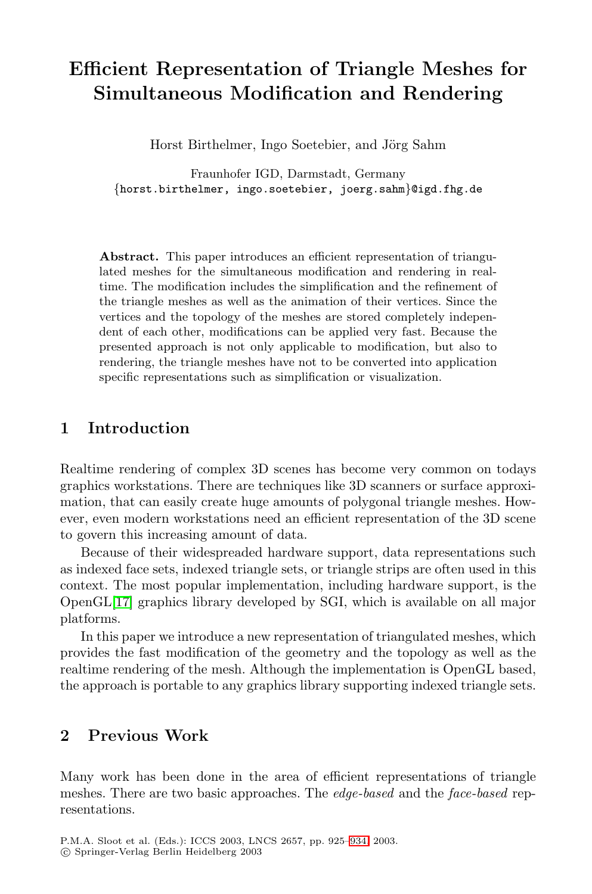# **Efficient Representation of Triangle Meshes for Simultaneous Modification and Rendering**

Horst Birthelmer, Ingo Soetebier, and Jörg Sahm

Fraunhofer IGD, Darmstadt, Germany {horst.birthelmer, ingo.soetebier, joerg.sahm}@igd.fhg.de

**Abstract.** This paper introduces an efficient representation of triangulated meshes for the simultaneous modification and rendering in realtime. The modification includes the simplification and the refinement of the triangle meshes as well as the animation of their vertices. Since the vertices and the topology of the meshes are stored completely independent of each other, modifications can be applied very fast. Because the presented approach is not only applicable to modification, but also to rendering, the triangle meshes have not to be converted into application specific representations such as simplification or visualization.

#### **1 Introduction**

Realtime rendering of complex 3D scenes has become very common on todays graphics workstations. There are techniques like 3D scanners or surface approximation, that can easily create huge amounts of polygonal triangle meshes. However, even modern workstations need an efficient representation of the 3D scene to govern this increasing amount of data.

Because of their widespreaded hardware support, data representations such as indexed face sets, indexed triangle sets, or triangle strips are often used in this context. The most popular implementation, including hardware support, is the OpenGL[17] graphics library developed by SGI, which is available on all major platforms.

In this paper we introduce a new representation of triangulated meshes, which provides the fast modification of the geometry and the topology as well as the realtime rendering of the m[esh.](#page-8-0) Although the implementation is OpenGL based, the approach is portable to any graphics library supporting indexed triangle sets.

## **2 Previous Work**

Many work has been done in the area of efficient representations of triangle meshes. There are two basic approaches. The edge-based and the face-based representations.

P.M.A. Sloot et al. (Eds.): ICCS 2003, LNCS 2657, pp. 925–934, 2003. c Springer-Verlag Berlin Heidelberg 2003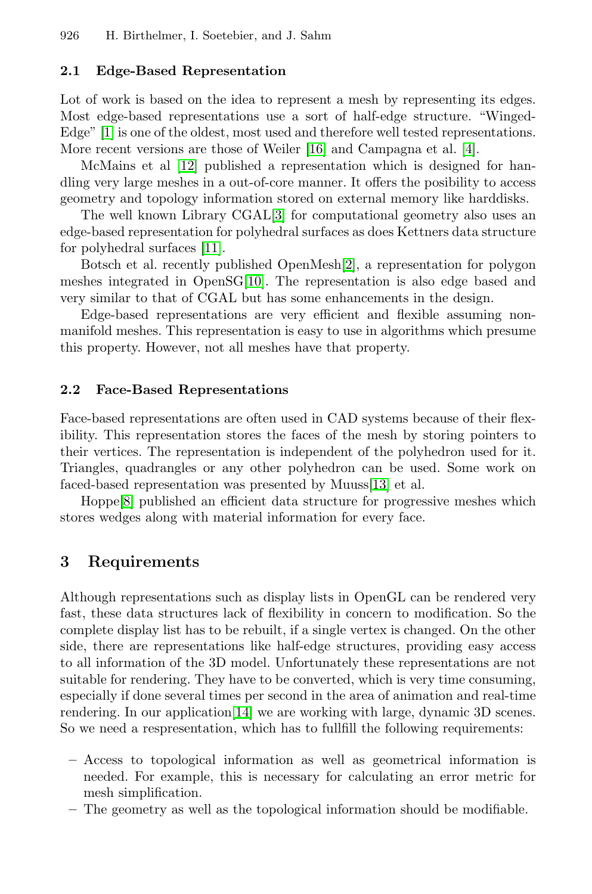#### <span id="page-1-0"></span>**2.1 Edge-Based Representation**

Lot of work is based on the idea to represent a mesh by representing its edges. Most edge-based representations use a sort of half-edge structure. "Winged-Edge" [\[1\]](#page-8-0) is one of the oldest, most used and therefore well tested representations. More recent versions are those of Weiler [\[16\]](#page-9-0) and Campagna et al. [\[4\]](#page-8-0).

McMains et al [\[12\]](#page-9-0) published a representation which is designed for handling very large meshes in a out-of-core manner. It offers the posibility to access geometry and topology information stored on external memory like harddisks.

The well known Library CGAL[\[3\]](#page-8-0) for computational geometry also uses an edge-based representation for polyhedral surfaces as does Kettners data structure for polyhedral surfaces [\[11\]](#page-8-0).

Botsch et al. recently published OpenMesh[\[2\]](#page-8-0), a representation for polygon meshes integrated in OpenSG[\[10\]](#page-8-0). The representation is also edge based and very similar to that of CGAL but has some enhancements in the design.

Edge-based representations are very efficient and flexible assuming nonmanifold meshes. This representation is easy to use in algorithms which presume this property. However, not all meshes have that property.

#### **2.2 Face-Based Representations**

Face-based representations are often used in CAD systems because of their flexibility. This representation stores the faces of the mesh by storing pointers to their vertices. The representation is independent of the polyhedron used for it. Triangles, quadrangles or any other polyhedron can be used. Some work on faced-based representation was presented by Muuss[\[13\]](#page-9-0) et al.

Hoppe[\[8\]](#page-8-0) published an efficient data structure for progressive meshes which stores wedges along with material information for every face.

#### **3 Requirements**

Although representations such as display lists in OpenGL can be rendered very fast, these data structures lack of flexibility in concern to modification. So the complete display list has to be rebuilt, if a single vertex is changed. On the other side, there are representations like half-edge structures, providing easy access to all information of the 3D model. Unfortunately these representations are not suitable for rendering. They have to be converted, which is very time consuming, especially if done several times per second in the area of animation and real-time rendering. In our application[\[14\]](#page-9-0) we are working with large, dynamic 3D scenes. So we need a respresentation, which has to fullfill the following requirements:

- **–** Access to topological information as well as geometrical information is needed. For example, this is necessary for calculating an error metric for mesh simplification.
- **–** The geometry as well as the topological information should be modifiable.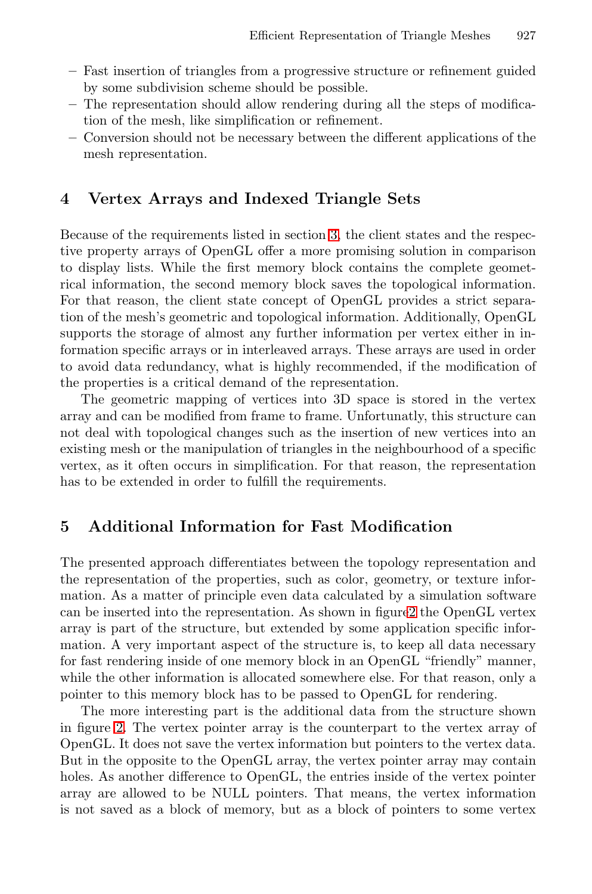- **–** Fast insertion of triangles from a progressive structure or refinement guided by some subdivision scheme should be possible.
- **–** The representation should allow rendering during all the steps of modification of the mesh, like simplification or refinement.
- **–** Conversion should not be necessary between the different applications of the mesh representation.

## **4 Vertex Arrays and Indexed Triangle Sets**

Because of the requirements listed in section [3,](#page-1-0) the client states and the respective property arrays of OpenGL offer a more promising solution in comparison to display lists. While the first memory block contains the complete geometrical information, the second memory block saves the topological information. For that reason, the client state concept of OpenGL provides a strict separation of the mesh's geometric and topological information. Additionally, OpenGL supports the storage of almost any further information per vertex either in information specific arrays or in interleaved arrays. These arrays are used in order to avoid data redundancy, what is highly recommended, if the modification of the properties is a critical demand of the representation.

The geometric mapping of vertices into 3D space is stored in the vertex array and can be modified from frame to frame. Unfortunatly, this structure can not deal with topological changes such as the insertion of new vertices into an existing mesh or the manipulation of triangles in the neighbourhood of a specific vertex, as it often occurs in simplification. For that reason, the representation has to be extended in order to fulfill the requirements.

## **5 Additional Information for Fast Modification**

The presented approach differentiates between the topology representation and the representation of the properties, such as color, geometry, or texture information. As a matter of principle even data calculated by a simulation software can be inserted into the representation. As shown in figur[e2](#page-4-0) the OpenGL vertex array is part of the structure, but extended by some application specific information. A very important aspect of the structure is, to keep all data necessary for fast rendering inside of one memory block in an OpenGL "friendly" manner, while the other information is allocated somewhere else. For that reason, only a pointer to this memory block has to be passed to OpenGL for rendering.

The more interesting part is the additional data from the structure shown in figure [2.](#page-4-0) The vertex pointer array is the counterpart to the vertex array of OpenGL. It does not save the vertex information but pointers to the vertex data. But in the opposite to the OpenGL array, the vertex pointer array may contain holes. As another difference to OpenGL, the entries inside of the vertex pointer array are allowed to be NULL pointers. That means, the vertex information is not saved as a block of memory, but as a block of pointers to some vertex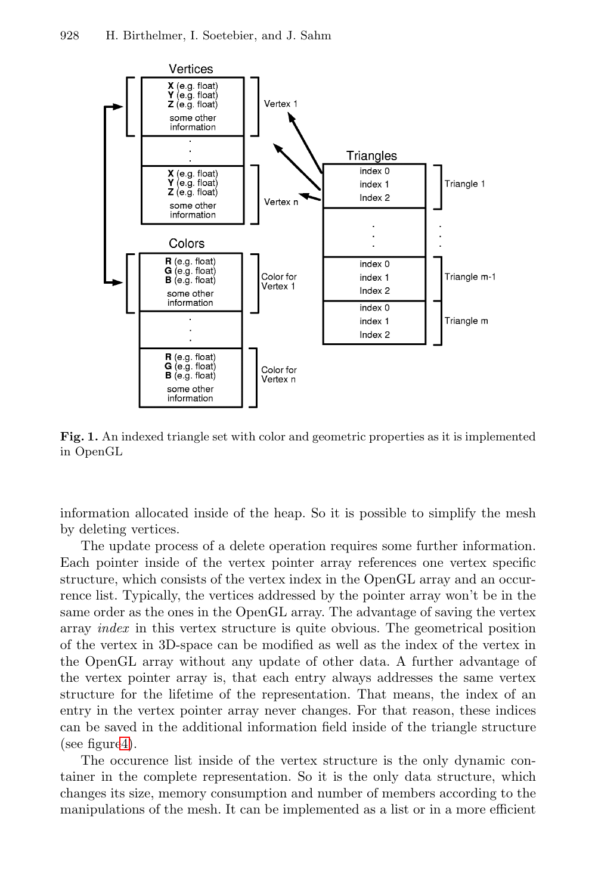

**Fig. 1.** An indexed triangle set with color and geometric properties as it is implemented in OpenGL

information allocated inside of the heap. So it is possible to simplify the mesh by deleting vertices.

The update process of a delete operation requires some further information. Each pointer inside of the vertex pointer array references one vertex specific structure, which consists of the vertex index in the OpenGL array and an occurrence list. Typically, the vertices addressed by the pointer array won't be in the same order as the ones in the OpenGL array. The advantage of saving the vertex array index in this vertex structure is quite obvious. The geometrical position of the vertex in 3D-space can be modified as well as the index of the vertex in the OpenGL array without any update of other data. A further advantage of the vertex pointer array is, that each entry always addresses the same vertex structure for the lifetime of the representation. That means, the index of an entry in the vertex pointer array never changes. For that reason, these indices can be saved in the additional information field inside of the triangle structure (see figur[e4\)](#page-6-0).

The occurence list inside of the vertex structure is the only dynamic container in the complete representation. So it is the only data structure, which changes its size, memory consumption and number of members according to the manipulations of the mesh. It can be implemented as a list or in a more efficient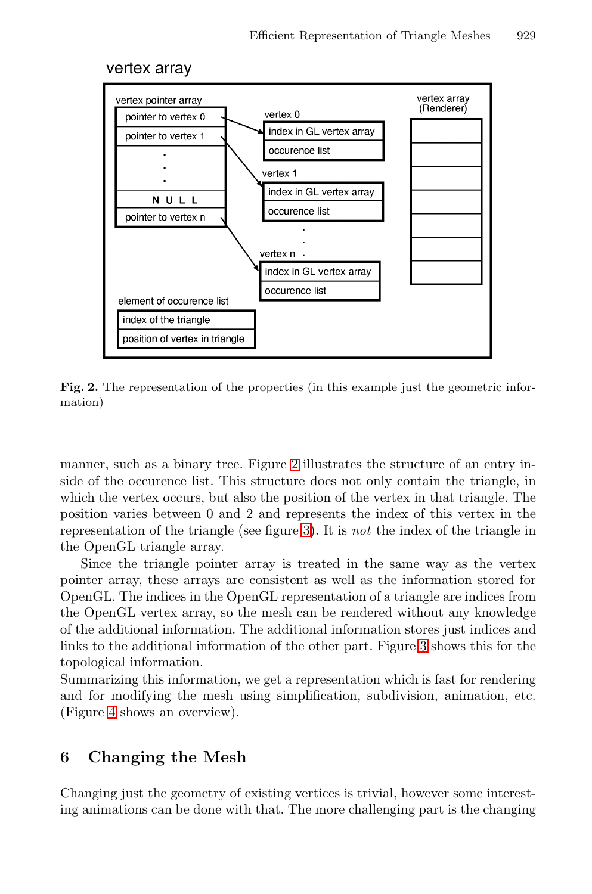<span id="page-4-0"></span>



Fig. 2. The representation of the properties (in this example just the geometric information)

manner, such as a binary tree. Figure 2 illustrates the structure of an entry inside of the occurence list. This structure does not only contain the triangle, in which the vertex occurs, but also the position of the vertex in that triangle. The position varies between 0 and 2 and represents the index of this vertex in the representation of the triangle (see figure [3\)](#page-5-0). It is not the index of the triangle in the OpenGL triangle array.

Since the triangle pointer array is treated in the same way as the vertex pointer array, these arrays are consistent as well as the information stored for OpenGL. The indices in the OpenGL representation of a triangle are indices from the OpenGL vertex array, so the mesh can be rendered without any knowledge of the additional information. The additional information stores just indices and links to the additional information of the other part. Figure [3](#page-5-0) shows this for the topological information.

Summarizing this information, we get a representation which is fast for rendering and for modifying the mesh using simplification, subdivision, animation, etc. (Figure [4](#page-6-0) shows an overview).

### **6 Changing the Mesh**

Changing just the geometry of existing vertices is trivial, however some interesting animations can be done with that. The more challenging part is the changing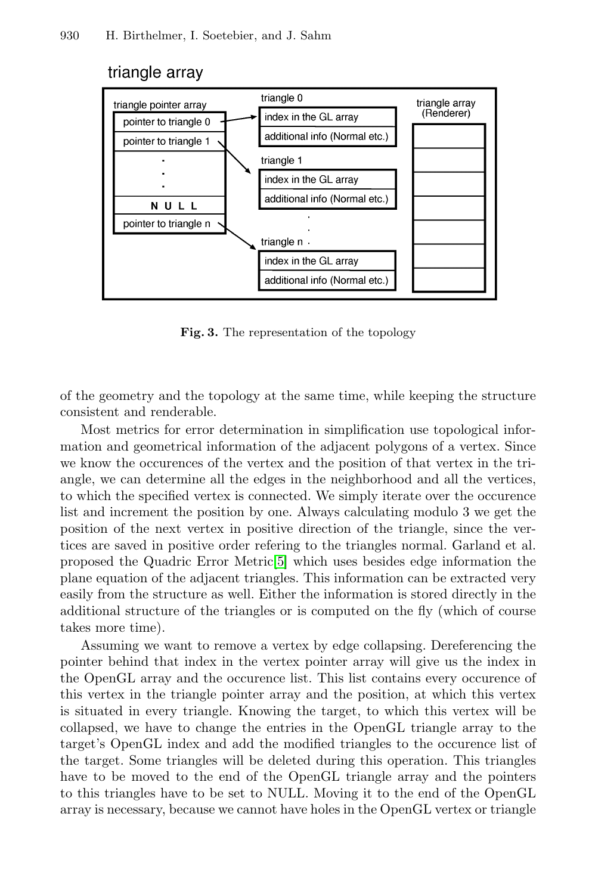#### <span id="page-5-0"></span>triangle array



**Fig. 3.** The representation of the topology

of the geometry and the topology at the same time, while keeping the structure consistent and renderable.

Most metrics for error determination in simplification use topological information and geometrical information of the adjacent polygons of a vertex. Since we know the occurences of the vertex and the position of that vertex in the triangle, we can determine all the edges in the neighborhood and all the vertices, to which the specified vertex is connected. We simply iterate over the occurence list and increment the position by one. Always calculating modulo 3 we get the position of the next vertex in positive direction of the triangle, since the vertices are saved in positive order refering to the triangles normal. Garland et al. proposed the Quadric Error Metric[\[5\]](#page-8-0) which uses besides edge information the plane equation of the adjacent triangles. This information can be extracted very easily from the structure as well. Either the information is stored directly in the additional structure of the triangles or is computed on the fly (which of course takes more time).

Assuming we want to remove a vertex by edge collapsing. Dereferencing the pointer behind that index in the vertex pointer array will give us the index in the OpenGL array and the occurence list. This list contains every occurence of this vertex in the triangle pointer array and the position, at which this vertex is situated in every triangle. Knowing the target, to which this vertex will be collapsed, we have to change the entries in the OpenGL triangle array to the target's OpenGL index and add the modified triangles to the occurence list of the target. Some triangles will be deleted during this operation. This triangles have to be moved to the end of the OpenGL triangle array and the pointers to this triangles have to be set to NULL. Moving it to the end of the OpenGL array is necessary, because we cannot have holes in the OpenGL vertex or triangle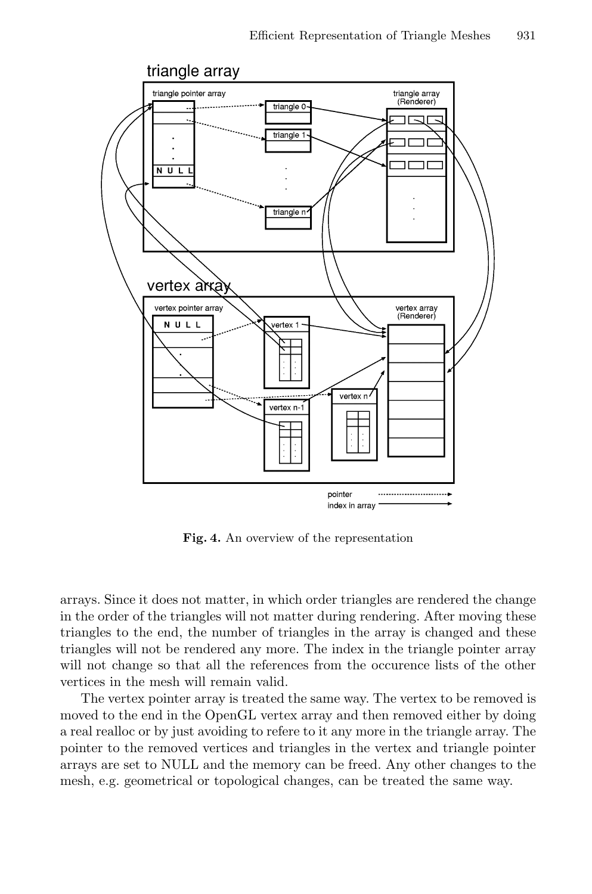<span id="page-6-0"></span>

**Fig. 4.** An overview of the representation

arrays. Since it does not matter, in which order triangles are rendered the change in the order of the triangles will not matter during rendering. After moving these triangles to the end, the number of triangles in the array is changed and these triangles will not be rendered any more. The index in the triangle pointer array will not change so that all the references from the occurence lists of the other vertices in the mesh will remain valid.

The vertex pointer array is treated the same way. The vertex to be removed is moved to the end in the OpenGL vertex array and then removed either by doing a real realloc or by just avoiding to refere to it any more in the triangle array. The pointer to the removed vertices and triangles in the vertex and triangle pointer arrays are set to NULL and the memory can be freed. Any other changes to the mesh, e.g. geometrical or topological changes, can be treated the same way.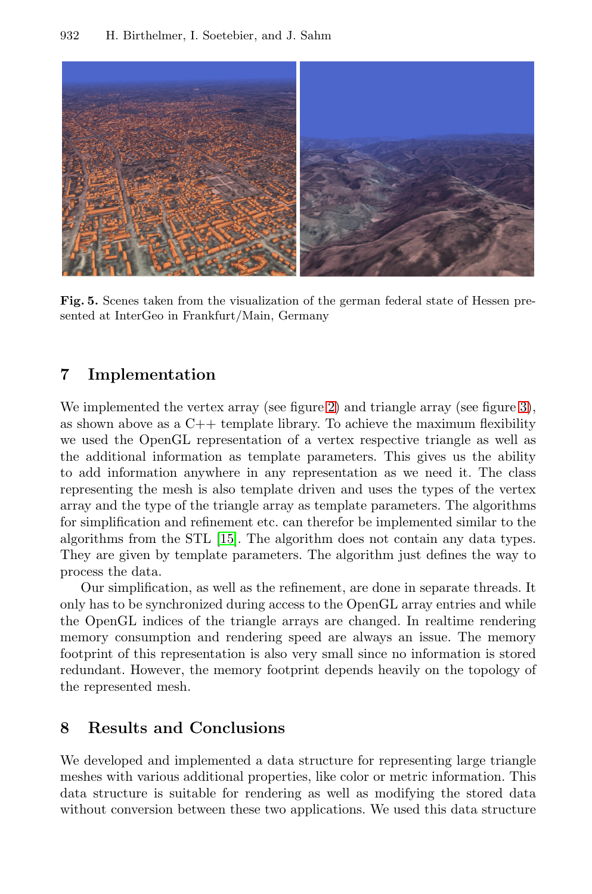

**Fig. 5.** Scenes taken from the visualization of the german federal state of Hessen presented at InterGeo in Frankfurt/Main, Germany

#### **7 Implementation**

We implemented the vertex array (see figure [2\)](#page-4-0) and triangle array (see figure [3\)](#page-5-0), as shown above as a  $C_{++}$  template library. To achieve the maximum flexibility we used the OpenGL representation of a vertex respective triangle as well as the additional information as template parameters. This gives us the ability to add information anywhere in any representation as we need it. The class representing the mesh is also template driven and uses the types of the vertex array and the type of the triangle array as template parameters. The algorithms for simplification and refinement etc. can therefor be implemented similar to the algorithms from the STL [\[15\]](#page-9-0). The algorithm does not contain any data types. They are given by template parameters. The algorithm just defines the way to process the data.

Our simplification, as well as the refinement, are done in separate threads. It only has to be synchronized during access to the OpenGL array entries and while the OpenGL indices of the triangle arrays are changed. In realtime rendering memory consumption and rendering speed are always an issue. The memory footprint of this representation is also very small since no information is stored redundant. However, the memory footprint depends heavily on the topology of the represented mesh.

## **8 Results and Conclusions**

We developed and implemented a data structure for representing large triangle meshes with various additional properties, like color or metric information. This data structure is suitable for rendering as well as modifying the stored data without conversion between these two applications. We used this data structure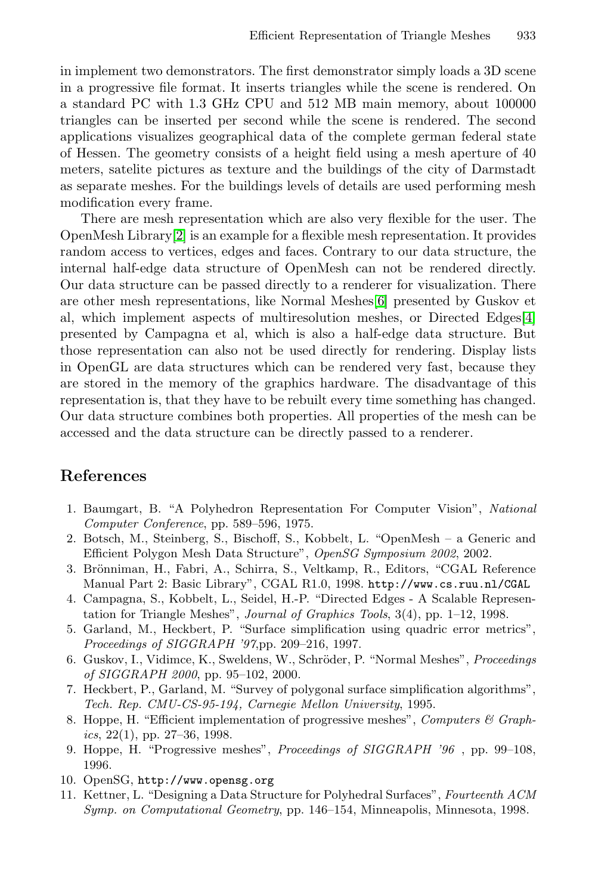<span id="page-8-0"></span>in implement two demonstrators. The first demonstrator simply loads a 3D scene in a progressive file format. It inserts triangles while the scene is rendered. On a standard PC with 1.3 GHz CPU and 512 MB main memory, about 100000 triangles can be inserted per second while the scene is rendered. The second applications visualizes geographical data of the complete german federal state of Hessen. The geometry consists of a height field using a mesh aperture of 40 meters, satelite pictures as texture and the buildings of the city of Darmstadt as separate meshes. For the buildings levels of details are used performing mesh modification every frame.

There are mesh representation which are also very flexible for the user. The OpenMesh Library[2] is an example for a flexible mesh representation. It provides random access to vertices, edges and faces. Contrary to our data structure, the internal half-edge data structure of OpenMesh can not be rendered directly. Our data structure can be passed directly to a renderer for visualization. There are other mesh representations, like Normal Meshes[6] presented by Guskov et al, which implement aspects of multiresolution meshes, or Directed Edges[4] presented by Campagna et al, which is also a half-edge data structure. But those representation can also not be used directly for rendering. Display lists in OpenGL are data structures which can be rendered very fast, because they are stored in the memory of the graphics hardware. The disadvantage of this representation is, that they have to be rebuilt every time something has changed. Our data structure combines both properties. All properties of the mesh can be accessed and the data structure can be directly passed to a renderer.

#### **References**

- 1. Baumgart, B. "A Polyhedron Representation For Computer Vision", National Computer Conference, pp. 589–596, 1975.
- 2. Botsch, M., Steinberg, S., Bischoff, S., Kobbelt, L. "OpenMesh a Generic and Efficient Polygon Mesh Data Structure", OpenSG Symposium 2002, 2002.
- 3. Brönniman, H., Fabri, A., Schirra, S., Veltkamp, R., Editors, "CGAL Reference Manual Part 2: Basic Library", CGAL R1.0, 1998. http://www.cs.ruu.nl/CGAL
- 4. Campagna, S., Kobbelt, L., Seidel, H.-P. "Directed Edges A Scalable Representation for Triangle Meshes", Journal of Graphics Tools, 3(4), pp. 1–12, 1998.
- 5. Garland, M., Heckbert, P. "Surface simplification using quadric error metrics", Proceedings of SIGGRAPH '97,pp. 209–216, 1997.
- 6. Guskov, I., Vidimce, K., Sweldens, W., Schröder, P. "Normal Meshes", Proceedings of SIGGRAPH 2000, pp. 95–102, 2000.
- 7. Heckbert, P., Garland, M. "Survey of polygonal surface simplification algorithms", Tech. Rep. CMU-CS-95-194, Carnegie Mellon University, 1995.
- 8. Hoppe, H. "Efficient implementation of progressive meshes", Computers & Graphics,  $22(1)$ , pp.  $27-36$ , 1998.
- 9. Hoppe, H. "Progressive meshes", Proceedings of SIGGRAPH '96 , pp. 99–108, 1996.
- 10. OpenSG, http://www.opensg.org
- 11. Kettner, L. "Designing a Data Structure for Polyhedral Surfaces", Fourteenth ACM Symp. on Computational Geometry, pp. 146–154, Minneapolis, Minnesota, 1998.